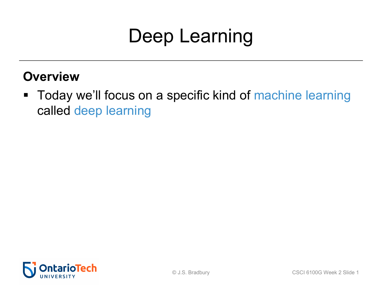#### **Overview**

■ Today we'll focus on a specific kind of machine learning called deep learning

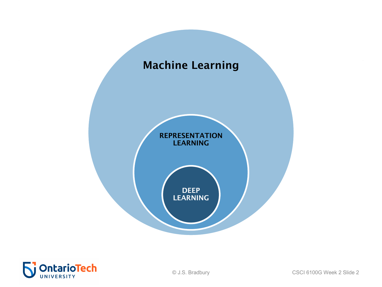

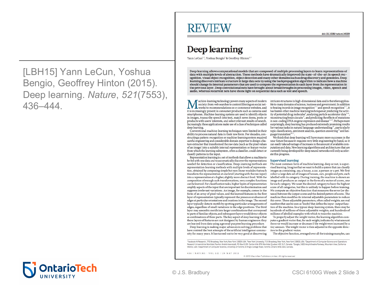[LBH15] Yann LeCun, Yoshua Bengio, Geoffrey Hinton (2015). Deep learning. *Nature*, *521*(7553), 436–444.

#### **REVIEW**

doi:10.1038/nature14539

#### Deep learning

Yann LeCun<sup>1,2</sup>, Yoshua Bengio<sup>3</sup> & Geoffrey Hinton<sup>4,5</sup>

Deep learning allows computational models that are composed of multiple processing layers to learn representations of data with multiple levels of abstraction. These methods have dramatically improved the state-of-the-art in speech recognition, visual object recognition, object detection and many other domains such as drug discovery and genomics. Deep learning discovers intricate structure in large data sets by using the backpropagation algorithm to indicate how a machine should change its internal parameters that are used to compute the representation in each laver from the representation in the previous layer. Deep convolutional nets have brought about breakthroughs in processing images, video, speech and audio, whereas recurrent nets have shone light on sequential data such as text and speech.

achine-learning technology powers many aspects of modern society: from web searches to content filtering on social networks to recommendations on e-commerce websites, and it is increasingly present in consumer products such as cameras and smartphones. Machine-learning systems are used to identify objects in images, transcribe speech into text, match news items, posts or products with users' interests, and select relevant results of search. Increasingly, these applications make use of a class of techniques called deep learning.

Conventional machine-learning techniques were limited in their ability to process natural data in their raw form. For decades, constructing a pattern-recognition or machine-learning system required careful engineering and considerable domain expertise to design a feature extractor that transformed the raw data (such as the pixel values of an image) into a suitable internal representation or feature vector from which the learning subsystem, often a classifier, could detect or classify patterns in the input.

Representation learning is a set of methods that allows a machine to be fed with raw data and to automatically discover the representations needed for detection or classification. Deep-learning methods are representation-learning methods with multiple levels of representation, obtained by composing simple but non-linear modules that each transform the representation at one level (starting with the raw input) into a representation at a higher, slightly more abstract level. With the composition of enough such transformations, very complex functions can be learned. For classification tasks, higher layers of representation amplify aspects of the input that are important for discrimination and suppress irrelevant variations. An image, for example, comes in the form of an array of pixel values, and the learned features in the first layer of representation typically represent the presence or absence of edges at particular orientations and locations in the image. The second layer typically detects motifs by spotting particular arrangements of edges, regardless of small variations in the edge positions. The third layer may assemble motifs into larger combinations that correspond to parts of familiar objects, and subsequent layers would detect objects as combinations of these parts. The key aspect of deep learning is that these layers of features are not designed by human engineers: they are learned from data using a general-purpose learning procedure.

Deep learning is making major advances in solving problems that have resisted the best attempts of the artificial intelligence community for many years. It has turned out to be very good at discovering

intricate structures in high-dimensional data and is therefore applicable to many domains of science, business and government. In addition to beating records in image recognition<sup>1-4</sup> and speech recognition<sup>5-7</sup>, it has beaten other machine-learning techniques at predicting the activity of potential drug molecules<sup>8</sup>, analysing particle accelerator data<sup>9,10</sup>, reconstructing brain circuits<sup>11</sup>, and predicting the effects of mutations in non-coding DNA on gene expression and disease<sup>12,13</sup>. Perhaps more surprisingly, deep learning has produced extremely promising results for various tasks in natural language understanding<sup>14</sup>, particularly topic classification, sentiment analysis, question answering<sup>15</sup> and language translation<sup>16,1</sup>

We think that deep learning will have many more successes in the near future because it requires very little engineering by hand, so it can easily take advantage of increases in the amount of available computation and data. New learning algorithms and architectures that are currently being developed for deep neural networks will only accelerate this progress.

#### **Supervised learning**

The most common form of machine learning, deep or not, is supervised learning. Imagine that we want to build a system that can classify images as containing, say, a house, a car, a person or a pet. We first collect a large data set of images of houses, cars, people and pets, each labelled with its category. During training, the machine is shown an image and produces an output in the form of a vector of scores, one for each category. We want the desired category to have the highest score of all categories, but this is unlikely to happen before training. We compute an objective function that measures the error (or distance) between the output scores and the desired pattern of scores. The machine then modifies its internal adjustable parameters to reduce this error. These adjustable parameters, often called weights, are real numbers that can be seen as 'knobs' that define the input-output function of the machine. In a typical deep-learning system, there may be hundreds of millions of these adjustable weights, and hundreds of millions of labelled examples with which to train the machine.

To properly adjust the weight vector, the learning algorithm computes a gradient vector that, for each weight, indicates by what amount the error would increase or decrease if the weight were increased by a tiny amount. The weight vector is then adjusted in the opposite direction to the gradient vector.

The objective function, averaged over all the training examples, can

Facebook Al Research, 770 Broadway, New York, New York 10003 USA. <sup>2</sup>New York University, 715 Broadway, New York, New York 10003, USA. <sup>3</sup>Department of Computer Science and Operations Research Université de Montréal, Pavillon André-Aisenstadt, PO Box 6128 Centre-Ville STN Montréal, Quebec H3C 3J7, Canada. "Google, 1600 Amphitheatre Parkway, Mountain View, California 94043, USA <sup>5</sup>Department of Computer Science, University of Toronto, 6 King's College Road, Toronto, Ontario M5S 3G4, Canada.

436 | NATURE | VOL 521 | 28 MAY 2015

@ 2015 Macmillan Publishers Limited All rights reserved

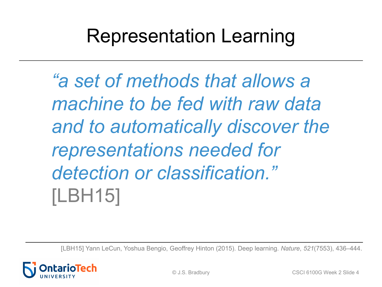#### Representation Learning

*"a set of methods that allows a machine to be fed with raw data and to automatically discover the representations needed for detection or classification."*  [LBH15]

[LBH15] Yann LeCun, Yoshua Bengio, Geoffrey Hinton (2015). Deep learning. *Nature*, *521*(7553), 436–444.

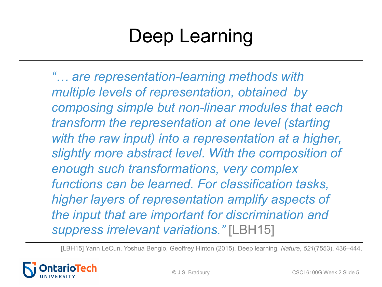*"… are representation-learning methods with multiple levels of representation, obtained by composing simple but non-linear modules that each transform the representation at one level (starting*  with the raw input) into a representation at a higher, *slightly more abstract level. With the composition of enough such transformations, very complex functions can be learned. For classification tasks, higher layers of representation amplify aspects of the input that are important for discrimination and suppress irrelevant variations."* [LBH15]

[LBH15] Yann LeCun, Yoshua Bengio, Geoffrey Hinton (2015). Deep learning. *Nature*, *521*(7553), 436–444.

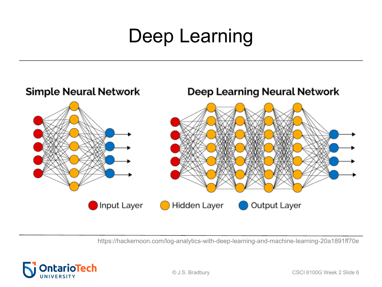

https://hackernoon.com/log-analytics-with-deep-learning-and-machine-learning-20a1891ff70e

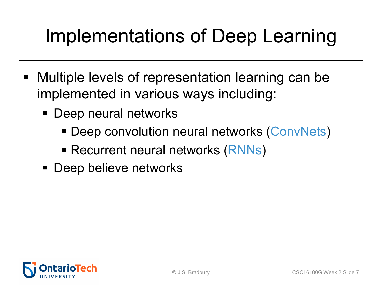## Implementations of Deep Learning

- Multiple levels of representation learning can be implemented in various ways including:
	- Deep neural networks
		- Deep convolution neural networks (ConvNets)
		- Recurrent neural networks (RNNs)
	- Deep believe networks

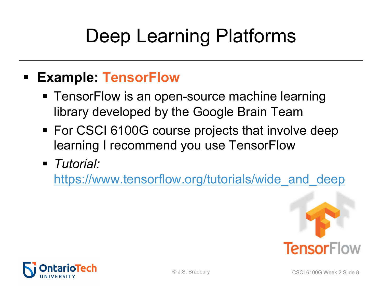# [Deep Learning Platforms](https://www.tensorflow.org/tutorials/wide_and_deep)

#### § **Example: TensorFlow**

- TensorFlow is an open-source machine learning library developed by the Google Brain Team
- For CSCI 6100G course projects that involve de learning I recommend you use TensorFlow
- § *Tutorial:*

https://www.tensorflow.org/tutorials/wide\_and\_d



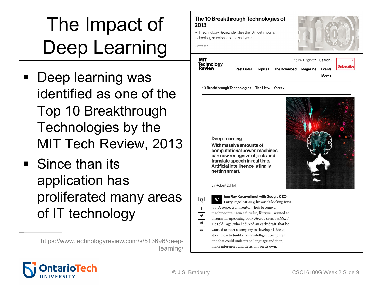# The Impact of Deep Learning

- § Deep learning was identified as one of the Top 10 Breakthrough Technologies by the MIT Tech Review, 2013
- Since than its application has proliferated many areas of IT technology

https://www.technologyreview.com/s/513696/deeplearning/

#### The 10 Breakthrough Technologies of 2013

MIT Technology Review identifies the 10 most important technology milestones of the past year.

5 years ago

| міт<br><b>Technology</b><br>Review |             |         | Log in / Register Search a |  |               |  |
|------------------------------------|-------------|---------|----------------------------|--|---------------|--|
|                                    | Past Lists+ | Topics+ | The Download Magazine      |  | <b>Events</b> |  |
|                                    |             |         |                            |  | More+         |  |

10 Breakthrough Technologies The List Years.

**Deep Learning** 

With massive amounts of computational power, machines can now recognize objects and translate speech in real time. Artificial intelligence is finally getting smart.



by Robert D. Hof

#### hen Ray Kurzweil met with Google CEO

 $Z^7$ W Larry Page last July, he wasn't looking for a job. A respected inventor who's become a machine-intelligence futurist, Kurzweil wanted to discuss his upcoming book How to Create a Mind. He told Page, who had read an early draft, that he wanted to start a company to develop his ideas about how to build a truly intelligent computer: one that could understand language and then make inferences and decisions on its own.



 $\ddot{\mathbf{f}}$  $\overline{\textbf{y}}$ 

 $\overline{\bullet}$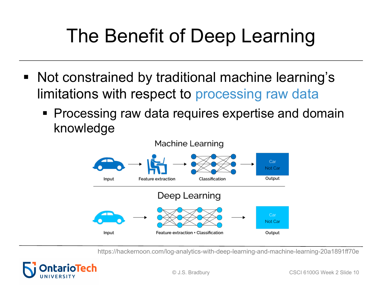# The Benefit of Deep Learning

- Not constrained by traditional machine learning's limitations with respect to processing raw data
	- **Processing raw data requires expertise and domain** knowledge



https://hackernoon.com/log-analytics-with-deep-learning-and-machine-learning-20a1891ff70e

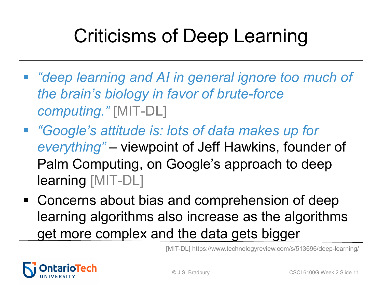# Criticisms of Deep Learning

- § *"deep learning and AI in general ignore too much of the brain's biology in favor of brute-force computing."* [MIT-DL]
- § *"Google's attitude is: lots of data makes up for everything"* – viewpoint of Jeff Hawkins, founder of Palm Computing, on Google's approach to deep learning [MIT-DL]
- Concerns about bias and comprehension of deep learning algorithms also increase as the algorithms get more complex and the data gets bigger

[MIT-DL] https://www.technologyreview.com/s/513696/deep-learning/